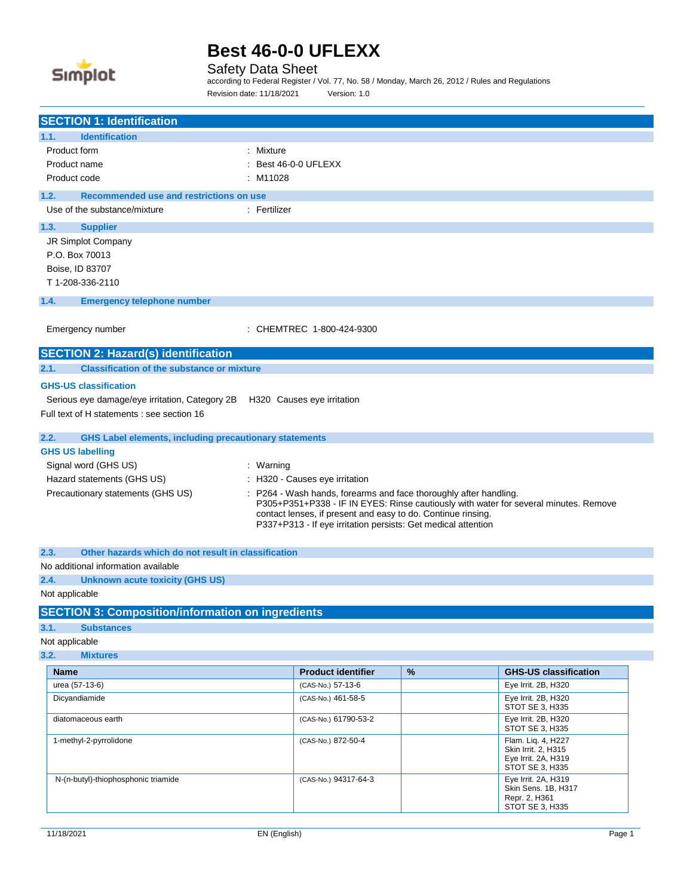

Safety Data Sheet

according to Federal Register / Vol. 77, No. 58 / Monday, March 26, 2012 / Rules and Regulations Revision date: 11/18/2021 Version: 1.0

| <b>SECTION 1: Identification</b>                                          |                                                                                                                                                                                                  |      |                                                                                      |
|---------------------------------------------------------------------------|--------------------------------------------------------------------------------------------------------------------------------------------------------------------------------------------------|------|--------------------------------------------------------------------------------------|
| <b>Identification</b><br>1.1.                                             |                                                                                                                                                                                                  |      |                                                                                      |
| Product form                                                              | : Mixture                                                                                                                                                                                        |      |                                                                                      |
| Product name                                                              | Best 46-0-0 UFLEXX                                                                                                                                                                               |      |                                                                                      |
| Product code                                                              | M11028                                                                                                                                                                                           |      |                                                                                      |
| 1.2.<br>Recommended use and restrictions on use                           |                                                                                                                                                                                                  |      |                                                                                      |
| Use of the substance/mixture                                              | : Fertilizer                                                                                                                                                                                     |      |                                                                                      |
| 1.3.<br><b>Supplier</b>                                                   |                                                                                                                                                                                                  |      |                                                                                      |
| JR Simplot Company                                                        |                                                                                                                                                                                                  |      |                                                                                      |
| P.O. Box 70013                                                            |                                                                                                                                                                                                  |      |                                                                                      |
| Boise, ID 83707                                                           |                                                                                                                                                                                                  |      |                                                                                      |
| T 1-208-336-2110                                                          |                                                                                                                                                                                                  |      |                                                                                      |
| 1.4.<br><b>Emergency telephone number</b>                                 |                                                                                                                                                                                                  |      |                                                                                      |
| Emergency number                                                          | : CHEMTREC 1-800-424-9300                                                                                                                                                                        |      |                                                                                      |
| <b>SECTION 2: Hazard(s) identification</b>                                |                                                                                                                                                                                                  |      |                                                                                      |
| 2.1.<br><b>Classification of the substance or mixture</b>                 |                                                                                                                                                                                                  |      |                                                                                      |
| <b>GHS-US classification</b>                                              |                                                                                                                                                                                                  |      |                                                                                      |
| Serious eye damage/eye irritation, Category 2B H320 Causes eye irritation |                                                                                                                                                                                                  |      |                                                                                      |
| Full text of H statements : see section 16                                |                                                                                                                                                                                                  |      |                                                                                      |
| <b>GHS Label elements, including precautionary statements</b><br>2.2.     |                                                                                                                                                                                                  |      |                                                                                      |
| <b>GHS US labelling</b>                                                   |                                                                                                                                                                                                  |      |                                                                                      |
| Signal word (GHS US)                                                      | : Warning                                                                                                                                                                                        |      |                                                                                      |
| Hazard statements (GHS US)                                                | : H320 - Causes eye irritation                                                                                                                                                                   |      |                                                                                      |
| Precautionary statements (GHS US)                                         | P264 - Wash hands, forearms and face thoroughly after handling.<br>contact lenses, if present and easy to do. Continue rinsing.<br>P337+P313 - If eye irritation persists: Get medical attention |      | P305+P351+P338 - IF IN EYES: Rinse cautiously with water for several minutes. Remove |
| Other hazards which do not result in classification<br>2.3.               |                                                                                                                                                                                                  |      |                                                                                      |
| No additional information available                                       |                                                                                                                                                                                                  |      |                                                                                      |
| 2.4.<br><b>Unknown acute toxicity (GHS US)</b>                            |                                                                                                                                                                                                  |      |                                                                                      |
| Not applicable                                                            |                                                                                                                                                                                                  |      |                                                                                      |
| <b>SECTION 3: Composition/information on ingredients</b>                  |                                                                                                                                                                                                  |      |                                                                                      |
| 3.1.<br><b>Substances</b>                                                 |                                                                                                                                                                                                  |      |                                                                                      |
| Not applicable                                                            |                                                                                                                                                                                                  |      |                                                                                      |
| 3.2.<br><b>Mixtures</b>                                                   |                                                                                                                                                                                                  |      |                                                                                      |
| <b>Name</b>                                                               | <b>Product identifier</b>                                                                                                                                                                        | $\%$ | <b>GHS-US classification</b>                                                         |
| urea (57-13-6)                                                            | (CAS-No.) 57-13-6                                                                                                                                                                                |      | Eye Irrit. 2B, H320                                                                  |
| Dicyandiamide                                                             | (CAS-No.) 461-58-5                                                                                                                                                                               |      | Eye Irrit. 2B, H320<br>STOT SE 3, H335                                               |
| diatomaceous earth                                                        | (CAS-No.) 61790-53-2                                                                                                                                                                             |      | Eye Irrit. 2B, H320<br>STOT SE 3, H335                                               |
| 1-methyl-2-pyrrolidone                                                    | (CAS-No.) 872-50-4                                                                                                                                                                               |      | Flam. Liq. 4, H227<br>Skin Irrit. 2, H315<br>Eve Irrit. 2A. H319<br>STOT SE 3, H335  |
| N-(n-butyl)-thiophosphonic triamide                                       | (CAS-No.) 94317-64-3                                                                                                                                                                             |      | Eye Irrit. 2A, H319<br>Skin Sens. 1B, H317<br>Repr. 2, H361                          |

STOT SE 3, H335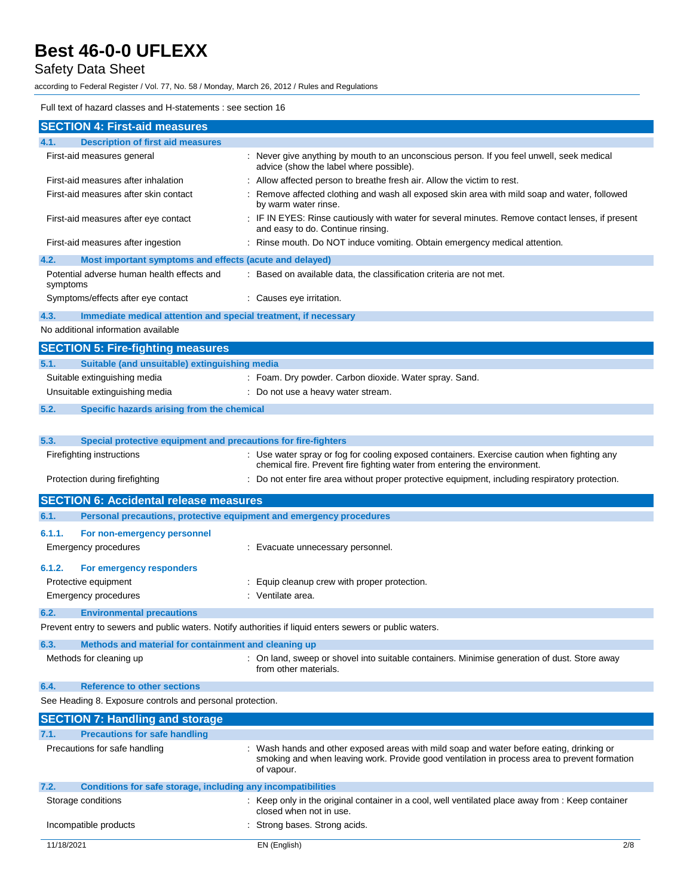## Safety Data Sheet

according to Federal Register / Vol. 77, No. 58 / Monday, March 26, 2012 / Rules and Regulations

#### Full text of hazard classes and H-statements : see section 16

| <b>SECTION 4: First-aid measures</b>                                        |                                                                                                                                                                                                      |
|-----------------------------------------------------------------------------|------------------------------------------------------------------------------------------------------------------------------------------------------------------------------------------------------|
| <b>Description of first aid measures</b><br>4.1.                            |                                                                                                                                                                                                      |
| First-aid measures general                                                  | : Never give anything by mouth to an unconscious person. If you feel unwell, seek medical<br>advice (show the label where possible).                                                                 |
| First-aid measures after inhalation                                         | : Allow affected person to breathe fresh air. Allow the victim to rest.                                                                                                                              |
| First-aid measures after skin contact                                       | Remove affected clothing and wash all exposed skin area with mild soap and water, followed<br>by warm water rinse.                                                                                   |
| First-aid measures after eye contact                                        | : IF IN EYES: Rinse cautiously with water for several minutes. Remove contact lenses, if present<br>and easy to do. Continue rinsing.                                                                |
| First-aid measures after ingestion                                          | : Rinse mouth. Do NOT induce vomiting. Obtain emergency medical attention.                                                                                                                           |
| 4.2.<br>Most important symptoms and effects (acute and delayed)             |                                                                                                                                                                                                      |
| Potential adverse human health effects and<br>symptoms                      | : Based on available data, the classification criteria are not met.                                                                                                                                  |
| Symptoms/effects after eye contact                                          | : Causes eye irritation.                                                                                                                                                                             |
| 4.3.<br>Immediate medical attention and special treatment, if necessary     |                                                                                                                                                                                                      |
| No additional information available                                         |                                                                                                                                                                                                      |
| <b>SECTION 5: Fire-fighting measures</b>                                    |                                                                                                                                                                                                      |
| 5.1.<br>Suitable (and unsuitable) extinguishing media                       |                                                                                                                                                                                                      |
| Suitable extinguishing media                                                | : Foam. Dry powder. Carbon dioxide. Water spray. Sand.                                                                                                                                               |
| Unsuitable extinguishing media                                              | : Do not use a heavy water stream.                                                                                                                                                                   |
| 5.2.<br>Specific hazards arising from the chemical                          |                                                                                                                                                                                                      |
|                                                                             |                                                                                                                                                                                                      |
| 5.3.<br>Special protective equipment and precautions for fire-fighters      |                                                                                                                                                                                                      |
| Firefighting instructions                                                   | : Use water spray or fog for cooling exposed containers. Exercise caution when fighting any<br>chemical fire. Prevent fire fighting water from entering the environment.                             |
| Protection during firefighting                                              | : Do not enter fire area without proper protective equipment, including respiratory protection.                                                                                                      |
|                                                                             |                                                                                                                                                                                                      |
| <b>SECTION 6: Accidental release measures</b>                               |                                                                                                                                                                                                      |
| 6.1.<br>Personal precautions, protective equipment and emergency procedures |                                                                                                                                                                                                      |
| 6.1.1.<br>For non-emergency personnel                                       |                                                                                                                                                                                                      |
| Emergency procedures                                                        | : Evacuate unnecessary personnel.                                                                                                                                                                    |
| 6.1.2.<br>For emergency responders                                          |                                                                                                                                                                                                      |
| Protective equipment                                                        | Equip cleanup crew with proper protection.                                                                                                                                                           |
| Emergency procedures                                                        | : Ventilate area.                                                                                                                                                                                    |
| 6.2.<br><b>Environmental precautions</b>                                    |                                                                                                                                                                                                      |
|                                                                             | Prevent entry to sewers and public waters. Notify authorities if liquid enters sewers or public waters.                                                                                              |
| Methods and material for containment and cleaning up<br>6.3.                |                                                                                                                                                                                                      |
| Methods for cleaning up                                                     | : On land, sweep or shovel into suitable containers. Minimise generation of dust. Store away<br>from other materials.                                                                                |
| 6.4.<br><b>Reference to other sections</b>                                  |                                                                                                                                                                                                      |
| See Heading 8. Exposure controls and personal protection.                   |                                                                                                                                                                                                      |
| <b>SECTION 7: Handling and storage</b>                                      |                                                                                                                                                                                                      |
| <b>Precautions for safe handling</b><br>7.1.                                |                                                                                                                                                                                                      |
| Precautions for safe handling                                               | Wash hands and other exposed areas with mild soap and water before eating, drinking or<br>smoking and when leaving work. Provide good ventilation in process area to prevent formation<br>of vapour. |
| Conditions for safe storage, including any incompatibilities<br>7.2.        |                                                                                                                                                                                                      |
| Storage conditions                                                          | : Keep only in the original container in a cool, well ventilated place away from : Keep container<br>closed when not in use.                                                                         |
| Incompatible products                                                       | Strong bases. Strong acids.                                                                                                                                                                          |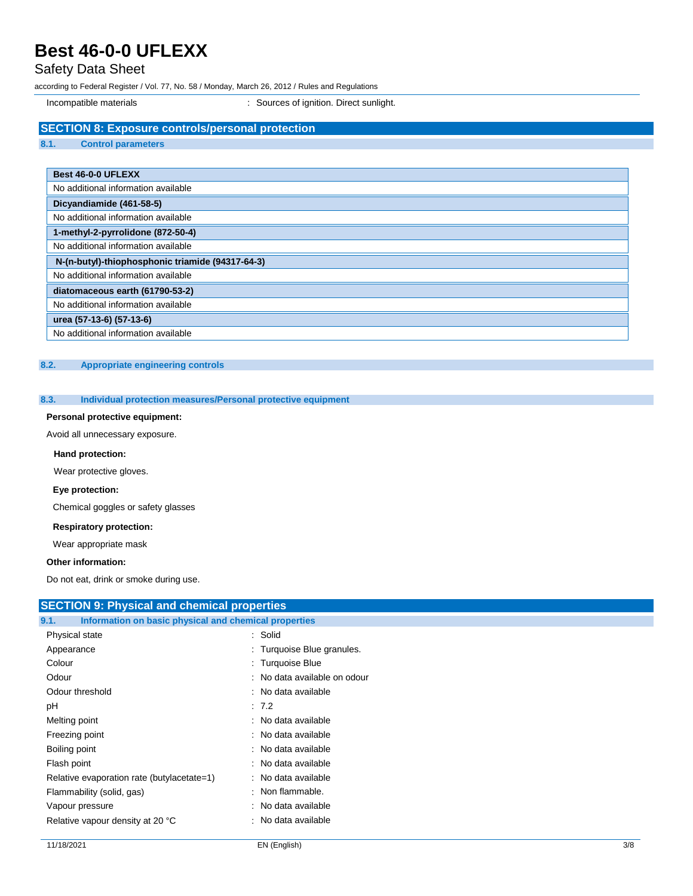## Safety Data Sheet

according to Federal Register / Vol. 77, No. 58 / Monday, March 26, 2012 / Rules and Regulations

Incompatible materials **incompatible materials** : Sources of ignition. Direct sunlight.

### **SECTION 8: Exposure controls/personal protection**

**8.1. Control parameters**

| Best 46-0-0 UFLEXX                               |
|--------------------------------------------------|
| No additional information available              |
| Dicyandiamide (461-58-5)                         |
| No additional information available              |
| 1-methyl-2-pyrrolidone (872-50-4)                |
| No additional information available              |
| N-(n-butyl)-thiophosphonic triamide (94317-64-3) |
| No additional information available              |
| diatomaceous earth (61790-53-2)                  |
| No additional information available              |
| urea (57-13-6) (57-13-6)                         |
| No additional information available              |

### **8.2. Appropriate engineering controls**

### **8.3. Individual protection measures/Personal protective equipment**

## **Personal protective equipment:**

Avoid all unnecessary exposure.

#### **Hand protection:**

Wear protective gloves.

#### **Eye protection:**

Chemical goggles or safety glasses

#### **Respiratory protection:**

Wear appropriate mask

### **Other information:**

Do not eat, drink or smoke during use.

| <b>SECTION 9: Physical and chemical properties</b>            |                              |
|---------------------------------------------------------------|------------------------------|
| 9.1.<br>Information on basic physical and chemical properties |                              |
| Physical state                                                | : Solid                      |
| Appearance                                                    | : Turquoise Blue granules.   |
| Colour                                                        | : Turquoise Blue             |
| Odour                                                         | : No data available on odour |
| Odour threshold                                               | : No data available          |
| pH                                                            | : 7.2                        |
| Melting point                                                 | : No data available          |
| Freezing point                                                | : No data available          |
| Boiling point                                                 | : No data available          |
| Flash point                                                   | : No data available          |
| Relative evaporation rate (butylacetate=1)                    | : No data available          |
| Flammability (solid, gas)                                     | : Non flammable.             |
| Vapour pressure                                               | : No data available          |
| Relative vapour density at 20 °C                              | : No data available          |
|                                                               |                              |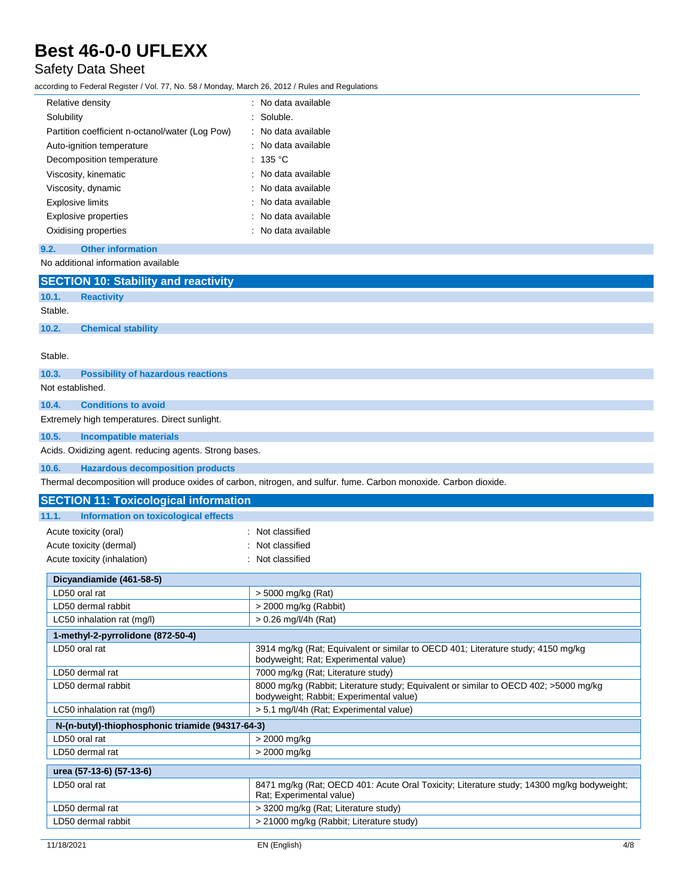## Safety Data Sheet

according to Federal Register / Vol. 77, No. 58 / Monday, March 26, 2012 / Rules and Regulations

| Relative density                                | $\therefore$ No data available  |
|-------------------------------------------------|---------------------------------|
| Solubility                                      | : Soluble.                      |
| Partition coefficient n-octanol/water (Log Pow) | : No data available             |
| Auto-ignition temperature                       | : No data available             |
| Decomposition temperature                       | $:~135~^{\circ}\mathrm{C}$      |
| Viscosity, kinematic                            | : No data available             |
| Viscosity, dynamic                              | $\therefore$ No data available. |
| <b>Explosive limits</b>                         | . No data available             |
| <b>Explosive properties</b>                     | : No data available             |
| Oxidising properties                            | ∴ No data available.            |

**9.2. Other information**

| No additional information available                    |                                                                                                                                 |  |
|--------------------------------------------------------|---------------------------------------------------------------------------------------------------------------------------------|--|
| <b>SECTION 10: Stability and reactivity</b>            |                                                                                                                                 |  |
| 10.1.<br><b>Reactivity</b>                             |                                                                                                                                 |  |
| Stable.                                                |                                                                                                                                 |  |
| 10.2.<br><b>Chemical stability</b>                     |                                                                                                                                 |  |
|                                                        |                                                                                                                                 |  |
| Stable.                                                |                                                                                                                                 |  |
| 10.3.<br><b>Possibility of hazardous reactions</b>     |                                                                                                                                 |  |
| Not established.                                       |                                                                                                                                 |  |
| <b>Conditions to avoid</b><br>10.4.                    |                                                                                                                                 |  |
| Extremely high temperatures. Direct sunlight.          |                                                                                                                                 |  |
| 10.5.<br><b>Incompatible materials</b>                 |                                                                                                                                 |  |
| Acids. Oxidizing agent. reducing agents. Strong bases. |                                                                                                                                 |  |
| 10.6.<br><b>Hazardous decomposition products</b>       |                                                                                                                                 |  |
|                                                        | Thermal decomposition will produce oxides of carbon, nitrogen, and sulfur. fume. Carbon monoxide. Carbon dioxide.               |  |
| <b>SECTION 11: Toxicological information</b>           |                                                                                                                                 |  |
| 11.1.<br><b>Information on toxicological effects</b>   |                                                                                                                                 |  |
| Acute toxicity (oral)                                  | : Not classified                                                                                                                |  |
| Acute toxicity (dermal)                                | Not classified                                                                                                                  |  |
| Acute toxicity (inhalation)                            | : Not classified                                                                                                                |  |
| Dicyandiamide (461-58-5)                               |                                                                                                                                 |  |
| LD50 oral rat                                          | > 5000 mg/kg (Rat)                                                                                                              |  |
| LD50 dermal rabbit                                     | > 2000 mg/kg (Rabbit)                                                                                                           |  |
| LC50 inhalation rat (mg/l)                             | $> 0.26$ mg/l/4h (Rat)                                                                                                          |  |
| 1-methyl-2-pyrrolidone (872-50-4)                      |                                                                                                                                 |  |
| LD50 oral rat                                          | 3914 mg/kg (Rat; Equivalent or similar to OECD 401; Literature study; 4150 mg/kg<br>bodyweight; Rat; Experimental value)        |  |
| LD50 dermal rat                                        | 7000 mg/kg (Rat; Literature study)                                                                                              |  |
| LD50 dermal rabbit                                     | 8000 mg/kg (Rabbit; Literature study; Equivalent or similar to OECD 402; >5000 mg/kg<br>bodyweight; Rabbit; Experimental value) |  |
| LC50 inhalation rat (mg/l)                             | > 5.1 mg/l/4h (Rat; Experimental value)                                                                                         |  |
| N-(n-butyl)-thiophosphonic triamide (94317-64-3)       |                                                                                                                                 |  |
| LD50 oral rat                                          | > 2000 mg/kg                                                                                                                    |  |
| LD50 dermal rat                                        | > 2000 mg/kg                                                                                                                    |  |
| urea (57-13-6) (57-13-6)                               |                                                                                                                                 |  |
| LD50 oral rat                                          | 8471 mg/kg (Rat; OECD 401: Acute Oral Toxicity; Literature study; 14300 mg/kg bodyweight;<br>Rat; Experimental value)           |  |
| LD50 dermal rat                                        | > 3200 mg/kg (Rat; Literature study)                                                                                            |  |
| LD50 dermal rabbit                                     | > 21000 mg/kg (Rabbit; Literature study)                                                                                        |  |
| 11/18/2021                                             | 4/8<br>EN (English)                                                                                                             |  |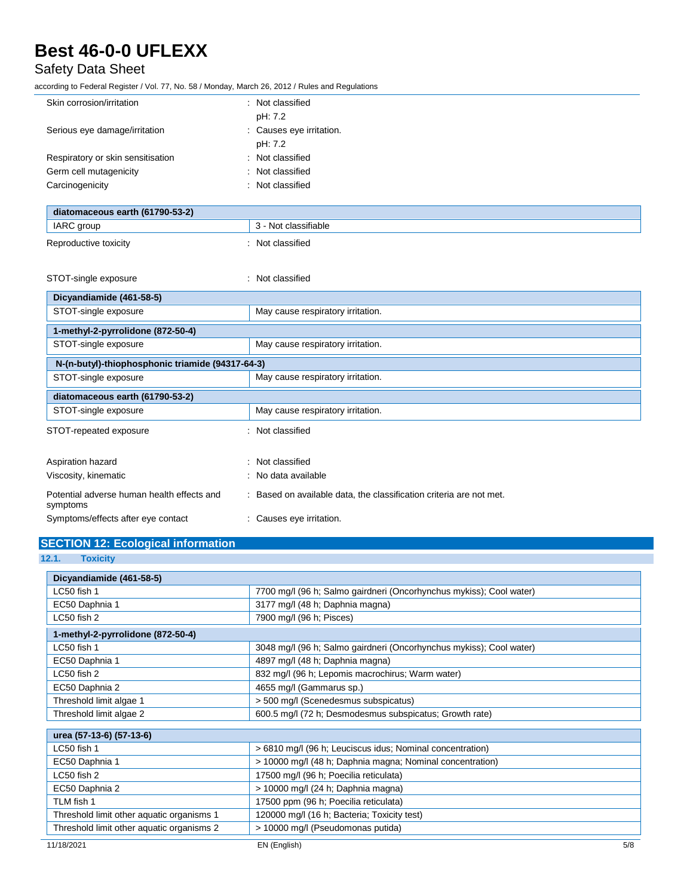## Safety Data Sheet

according to Federal Register / Vol. 77, No. 58 / Monday, March 26, 2012 / Rules and Regulations

| Skin corrosion/irritation         | : Not classified         |
|-----------------------------------|--------------------------|
|                                   | pH: 7.2                  |
| Serious eye damage/irritation     | : Causes eye irritation. |
|                                   | pH: 7.2                  |
| Respiratory or skin sensitisation | : Not classified         |
| Germ cell mutagenicity            | : Not classified         |
| Carcinogenicity                   | : Not classified         |
|                                   |                          |

| diatomaceous earth (61790-53-2) |                      |
|---------------------------------|----------------------|
| IARC group                      | 3 - Not classifiable |
| Reproductive toxicity           | Not classified       |

| STOT-single exposure                                   | Not classified                                                      |
|--------------------------------------------------------|---------------------------------------------------------------------|
| Dicyandiamide (461-58-5)                               |                                                                     |
| STOT-single exposure                                   | May cause respiratory irritation.                                   |
| 1-methyl-2-pyrrolidone (872-50-4)                      |                                                                     |
| STOT-single exposure                                   | May cause respiratory irritation.                                   |
| N-(n-butyl)-thiophosphonic triamide (94317-64-3)       |                                                                     |
| STOT-single exposure                                   | May cause respiratory irritation.                                   |
| diatomaceous earth (61790-53-2)                        |                                                                     |
| STOT-single exposure                                   | May cause respiratory irritation.                                   |
| STOT-repeated exposure                                 | Not classified<br>÷                                                 |
| Aspiration hazard                                      | Not classified<br>٠                                                 |
| Viscosity, kinematic                                   | : No data available                                                 |
| Potential adverse human health effects and<br>symptoms | : Based on available data, the classification criteria are not met. |
| Symptoms/effects after eye contact                     | : Causes eye irritation.                                            |

## **SECTION 12: Ecological information**

**<sup>12.1.</sup> Toxicity**

| Dicyandiamide (461-58-5)                  |                                                                     |
|-------------------------------------------|---------------------------------------------------------------------|
| LC50 fish 1                               | 7700 mg/l (96 h; Salmo gairdneri (Oncorhynchus mykiss); Cool water) |
| EC50 Daphnia 1                            | 3177 mg/l (48 h; Daphnia magna)                                     |
| LC50 fish 2                               | 7900 mg/l (96 h; Pisces)                                            |
| 1-methyl-2-pyrrolidone (872-50-4)         |                                                                     |
| LC50 fish 1                               | 3048 mg/l (96 h; Salmo gairdneri (Oncorhynchus mykiss); Cool water) |
| EC50 Daphnia 1                            | 4897 mg/l (48 h; Daphnia magna)                                     |
| LC50 fish 2                               | 832 mg/l (96 h; Lepomis macrochirus; Warm water)                    |
| EC50 Daphnia 2                            | 4655 mg/l (Gammarus sp.)                                            |
| Threshold limit algae 1                   | > 500 mg/l (Scenedesmus subspicatus)                                |
| Threshold limit algae 2                   | 600.5 mg/l (72 h; Desmodesmus subspicatus; Growth rate)             |
|                                           |                                                                     |
| urea (57-13-6) (57-13-6)                  |                                                                     |
| LC50 fish 1                               | > 6810 mg/l (96 h; Leuciscus idus; Nominal concentration)           |
| EC50 Daphnia 1                            | > 10000 mg/l (48 h; Daphnia magna; Nominal concentration)           |
| LC50 fish 2                               | 17500 mg/l (96 h; Poecilia reticulata)                              |
| EC50 Daphnia 2                            | > 10000 mg/l (24 h; Daphnia magna)                                  |
| TLM fish 1                                | 17500 ppm (96 h; Poecilia reticulata)                               |
| Threshold limit other aquatic organisms 1 | 120000 mg/l (16 h; Bacteria; Toxicity test)                         |
| Threshold limit other aquatic organisms 2 | > 10000 mg/l (Pseudomonas putida)                                   |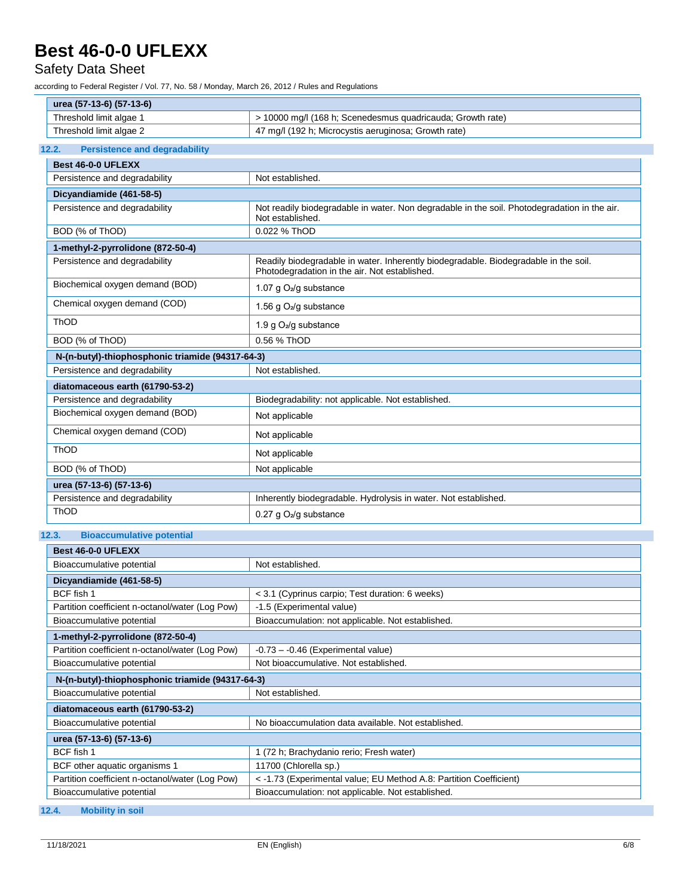## Safety Data Sheet

according to Federal Register / Vol. 77, No. 58 / Monday, March 26, 2012 / Rules and Regulations

| urea (57-13-6) (57-13-6) |                                                            |
|--------------------------|------------------------------------------------------------|
| Threshold limit algae    | ⋅ 10000 mɑ/l (168 h: Scenedesmus quadricauda: Growth rate) |
| Threshold limit algae 2  | 47 mg/l (192 h; Microcystis aeruginosa; Growth rate)       |

## **12.2. Persistence and degradability**

| Best 46-0-0 UFLEXX                               |                                                                                                                                       |
|--------------------------------------------------|---------------------------------------------------------------------------------------------------------------------------------------|
| Persistence and degradability                    | Not established.                                                                                                                      |
| Dicyandiamide (461-58-5)                         |                                                                                                                                       |
| Persistence and degradability                    | Not readily biodegradable in water. Non degradable in the soil. Photodegradation in the air.<br>Not established.                      |
| BOD (% of ThOD)                                  | 0.022 % ThOD                                                                                                                          |
| 1-methyl-2-pyrrolidone (872-50-4)                |                                                                                                                                       |
| Persistence and degradability                    | Readily biodegradable in water. Inherently biodegradable. Biodegradable in the soil.<br>Photodegradation in the air. Not established. |
| Biochemical oxygen demand (BOD)                  | 1.07 g O <sub>2</sub> /g substance                                                                                                    |
| Chemical oxygen demand (COD)                     | 1.56 g O <sub>2</sub> /g substance                                                                                                    |
| ThOD                                             | 1.9 g $O2/g$ substance                                                                                                                |
| BOD (% of ThOD)                                  | 0.56 % ThOD                                                                                                                           |
| N-(n-butyl)-thiophosphonic triamide (94317-64-3) |                                                                                                                                       |
| Persistence and degradability                    | Not established.                                                                                                                      |
| diatomaceous earth (61790-53-2)                  |                                                                                                                                       |
| Persistence and degradability                    | Biodegradability: not applicable. Not established.                                                                                    |
| Biochemical oxygen demand (BOD)                  | Not applicable                                                                                                                        |
| Chemical oxygen demand (COD)                     | Not applicable                                                                                                                        |
| ThOD                                             | Not applicable                                                                                                                        |
| BOD (% of ThOD)                                  | Not applicable                                                                                                                        |
| urea (57-13-6) (57-13-6)                         |                                                                                                                                       |
| Persistence and degradability                    | Inherently biodegradable. Hydrolysis in water. Not established.                                                                       |
| ThOD                                             | $0.27$ g $O2/g$ substance                                                                                                             |

## **12.3. Bioaccumulative potential**

| Best 46-0-0 UFLEXX                               |                                                                    |  |  |  |
|--------------------------------------------------|--------------------------------------------------------------------|--|--|--|
| Bioaccumulative potential                        | Not established.                                                   |  |  |  |
| Dicyandiamide (461-58-5)                         |                                                                    |  |  |  |
| BCF fish 1                                       | < 3.1 (Cyprinus carpio; Test duration: 6 weeks)                    |  |  |  |
| Partition coefficient n-octanol/water (Log Pow)  | -1.5 (Experimental value)                                          |  |  |  |
| Bioaccumulative potential                        | Bioaccumulation: not applicable. Not established.                  |  |  |  |
| 1-methyl-2-pyrrolidone (872-50-4)                |                                                                    |  |  |  |
| Partition coefficient n-octanol/water (Log Pow)  | $-0.73 - 0.46$ (Experimental value)                                |  |  |  |
| Bioaccumulative potential                        | Not bioaccumulative. Not established.                              |  |  |  |
| N-(n-butyl)-thiophosphonic triamide (94317-64-3) |                                                                    |  |  |  |
| Bioaccumulative potential                        | Not established.                                                   |  |  |  |
| diatomaceous earth (61790-53-2)                  |                                                                    |  |  |  |
| Bioaccumulative potential                        | No bioaccumulation data available. Not established.                |  |  |  |
| urea (57-13-6) (57-13-6)                         |                                                                    |  |  |  |
| BCF fish 1                                       | (72 h; Brachydanio rerio; Fresh water)                             |  |  |  |
| BCF other aquatic organisms 1                    | 11700 (Chlorella sp.)                                              |  |  |  |
| Partition coefficient n-octanol/water (Log Pow)  | < -1.73 (Experimental value; EU Method A.8: Partition Coefficient) |  |  |  |
| Bioaccumulative potential                        | Bioaccumulation: not applicable. Not established.                  |  |  |  |

## **12.4. Mobility in soil**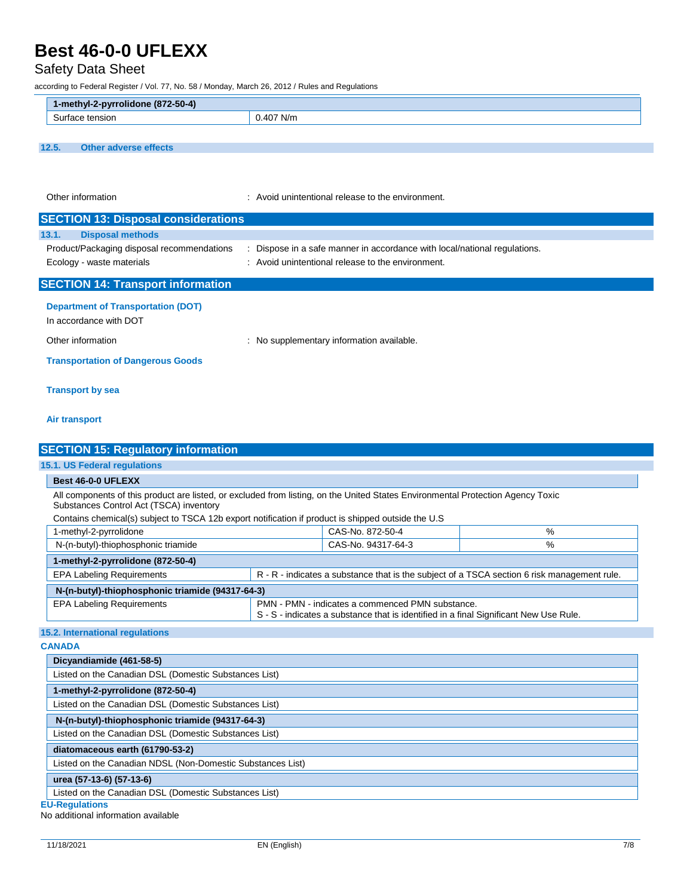## Safety Data Sheet

according to Federal Register / Vol. 77, No. 58 / Monday, March 26, 2012 / Rules and Regulations

| 1-methyl-2-pyrrolidone (872-50-4) |       |
|-----------------------------------|-------|
| tensior<br>Surtace                | י N/m |
|                                   |       |

**12.5. Other adverse effects**

Other information **interval and the environment** intervals and the environment.

| <b>SECTION 13: Disposal considerations</b>                              |                                                                                                                              |
|-------------------------------------------------------------------------|------------------------------------------------------------------------------------------------------------------------------|
| 13.1.<br><b>Disposal methods</b>                                        |                                                                                                                              |
| Product/Packaging disposal recommendations<br>Ecology - waste materials | Dispose in a safe manner in accordance with local/national regulations.<br>: Avoid unintentional release to the environment. |
| <b>SECTION 14: Transport information</b>                                |                                                                                                                              |
|                                                                         |                                                                                                                              |

**Department of Transportation (DOT)**

In accordance with DOT

Other information **contracts** : No supplementary information available.

**Transportation of Dangerous Goods**

### **Transport by sea**

### **Air transport**

| <b>SECTION 15: Regulatory information</b>                                                                                                                                                                                                                                        |                                                                                                                                           |                    |                                                                                             |  |
|----------------------------------------------------------------------------------------------------------------------------------------------------------------------------------------------------------------------------------------------------------------------------------|-------------------------------------------------------------------------------------------------------------------------------------------|--------------------|---------------------------------------------------------------------------------------------|--|
| 15.1. US Federal regulations                                                                                                                                                                                                                                                     |                                                                                                                                           |                    |                                                                                             |  |
| Best 46-0-0 UFLEXX                                                                                                                                                                                                                                                               |                                                                                                                                           |                    |                                                                                             |  |
| All components of this product are listed, or excluded from listing, on the United States Environmental Protection Agency Toxic<br>Substances Control Act (TSCA) inventory<br>Contains chemical(s) subject to TSCA 12b export notification if product is shipped outside the U.S |                                                                                                                                           |                    |                                                                                             |  |
| 1-methyl-2-pyrrolidone                                                                                                                                                                                                                                                           |                                                                                                                                           | CAS-No. 872-50-4   | %                                                                                           |  |
| N-(n-butyl)-thiophosphonic triamide                                                                                                                                                                                                                                              |                                                                                                                                           | CAS-No. 94317-64-3 | %                                                                                           |  |
| 1-methyl-2-pyrrolidone (872-50-4)                                                                                                                                                                                                                                                |                                                                                                                                           |                    |                                                                                             |  |
| <b>EPA Labeling Requirements</b>                                                                                                                                                                                                                                                 |                                                                                                                                           |                    | R - R - indicates a substance that is the subject of a TSCA section 6 risk management rule. |  |
| N-(n-butyl)-thiophosphonic triamide (94317-64-3)                                                                                                                                                                                                                                 |                                                                                                                                           |                    |                                                                                             |  |
| <b>EPA Labeling Requirements</b>                                                                                                                                                                                                                                                 | PMN - PMN - indicates a commenced PMN substance.<br>S - S - indicates a substance that is identified in a final Significant New Use Rule. |                    |                                                                                             |  |
| 15.2. International regulations                                                                                                                                                                                                                                                  |                                                                                                                                           |                    |                                                                                             |  |
| <b>CANADA</b>                                                                                                                                                                                                                                                                    |                                                                                                                                           |                    |                                                                                             |  |
| Dicyandiamide (461-58-5)                                                                                                                                                                                                                                                         |                                                                                                                                           |                    |                                                                                             |  |
| Listed on the Canadian DSL (Domestic Substances List)                                                                                                                                                                                                                            |                                                                                                                                           |                    |                                                                                             |  |
| 1-methyl-2-pyrrolidone (872-50-4)                                                                                                                                                                                                                                                |                                                                                                                                           |                    |                                                                                             |  |
| Listed on the Canadian DSL (Domestic Substances List)                                                                                                                                                                                                                            |                                                                                                                                           |                    |                                                                                             |  |
| N-(n-butyl)-thiophosphonic triamide (94317-64-3)                                                                                                                                                                                                                                 |                                                                                                                                           |                    |                                                                                             |  |
| Listed on the Canadian DSL (Domestic Substances List)                                                                                                                                                                                                                            |                                                                                                                                           |                    |                                                                                             |  |
| diatomaceous earth (61790-53-2)                                                                                                                                                                                                                                                  |                                                                                                                                           |                    |                                                                                             |  |
| Listed on the Canadian NDSL (Non-Domestic Substances List)                                                                                                                                                                                                                       |                                                                                                                                           |                    |                                                                                             |  |
| urea (57-13-6) (57-13-6)                                                                                                                                                                                                                                                         |                                                                                                                                           |                    |                                                                                             |  |
| Listed on the Canadian DSL (Domestic Substances List)                                                                                                                                                                                                                            |                                                                                                                                           |                    |                                                                                             |  |
| <b>EU-Regulations</b>                                                                                                                                                                                                                                                            |                                                                                                                                           |                    |                                                                                             |  |

No additional information available